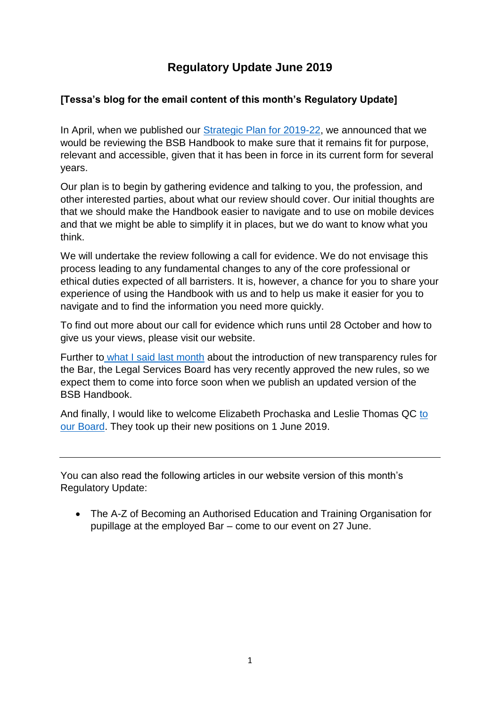# **Regulatory Update June 2019**

# **[Tessa's blog for the email content of this month's Regulatory Update]**

In April, when we published our [Strategic Plan for 2019-22,](https://www.barstandardsboard.org.uk/media/1982191/bsb_strategic_plan_2019-22.pdf) we announced that we would be reviewing the BSB Handbook to make sure that it remains fit for purpose, relevant and accessible, given that it has been in force in its current form for several years.

Our plan is to begin by gathering evidence and talking to you, the profession, and other interested parties, about what our review should cover. Our initial thoughts are that we should make the Handbook easier to navigate and to use on mobile devices and that we might be able to simplify it in places, but we do want to know what you think.

We will undertake the review following a call for evidence. We do not envisage this process leading to any fundamental changes to any of the core professional or ethical duties expected of all barristers. It is, however, a chance for you to share your experience of using the Handbook with us and to help us make it easier for you to navigate and to find the information you need more quickly.

To find out more about our call for evidence which runs until 28 October and how to give us your views, please visit our website.

Further to [what I said](https://www.barstandardsboard.org.uk/regulatory-requirements/regulatory-update-2019/bsb-regulatory-update-may-2019/blog-monthly-message-from-our-chair-baroness-blackstone/) last month about the introduction of new transparency rules for the Bar, the Legal Services Board has very recently approved the new rules, so we expect them to come into force soon when we publish an updated version of the BSB Handbook.

And finally, I would like to welcome Elizabeth Prochaska and Leslie Thomas QC [to](https://www.barstandardsboard.org.uk/media-centre/press-releases-and-news/new-barrister-board-members-for-the-bar-standards-board/)  [our Board.](https://www.barstandardsboard.org.uk/media-centre/press-releases-and-news/new-barrister-board-members-for-the-bar-standards-board/) They took up their new positions on 1 June 2019.

You can also read the following articles in our website version of this month's Regulatory Update:

• The A-Z of Becoming an Authorised Education and Training Organisation for pupillage at the employed Bar – come to our event on 27 June.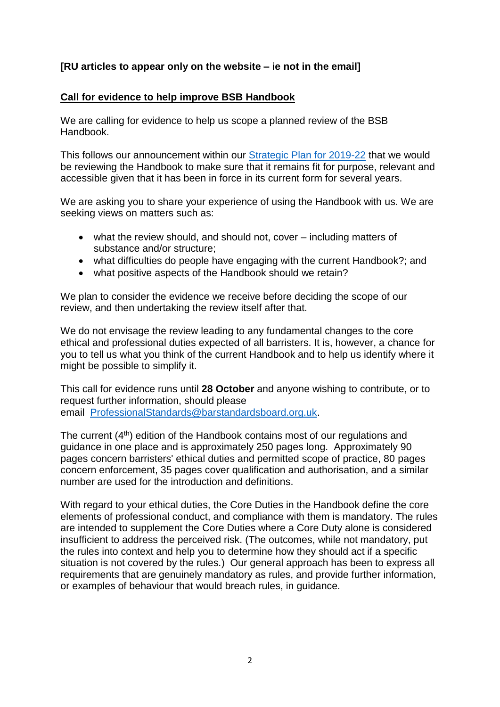## **[RU articles to appear only on the website – ie not in the email]**

#### **Call for evidence to help improve BSB Handbook**

We are calling for evidence to help us scope a planned review of the BSB Handbook.

This follows our announcement within our [Strategic Plan for 2019-22](https://www.barstandardsboard.org.uk/media/1982191/bsb_strategic_plan_2019-22.pdf) that we would be reviewing the Handbook to make sure that it remains fit for purpose, relevant and accessible given that it has been in force in its current form for several years.

We are asking you to share your experience of using the Handbook with us. We are seeking views on matters such as:

- what the review should, and should not, cover including matters of substance and/or structure;
- what difficulties do people have engaging with the current Handbook?; and
- what positive aspects of the Handbook should we retain?

We plan to consider the evidence we receive before deciding the scope of our review, and then undertaking the review itself after that.

We do not envisage the review leading to any fundamental changes to the core ethical and professional duties expected of all barristers. It is, however, a chance for you to tell us what you think of the current Handbook and to help us identify where it might be possible to simplify it.

This call for evidence runs until **28 October** and anyone wishing to contribute, or to request further information, should please email [ProfessionalStandards@barstandardsboard.org.uk.](mailto:ProfessionalStandards@barstandardsboard.org.uk)

The current (4<sup>th</sup>) edition of the Handbook contains most of our regulations and guidance in one place and is approximately 250 pages long. Approximately 90 pages concern barristers' ethical duties and permitted scope of practice, 80 pages concern enforcement, 35 pages cover qualification and authorisation, and a similar number are used for the introduction and definitions.

With regard to your ethical duties, the Core Duties in the Handbook define the core elements of professional conduct, and compliance with them is mandatory. The rules are intended to supplement the Core Duties where a Core Duty alone is considered insufficient to address the perceived risk. (The outcomes, while not mandatory, put the rules into context and help you to determine how they should act if a specific situation is not covered by the rules.) Our general approach has been to express all requirements that are genuinely mandatory as rules, and provide further information, or examples of behaviour that would breach rules, in guidance.